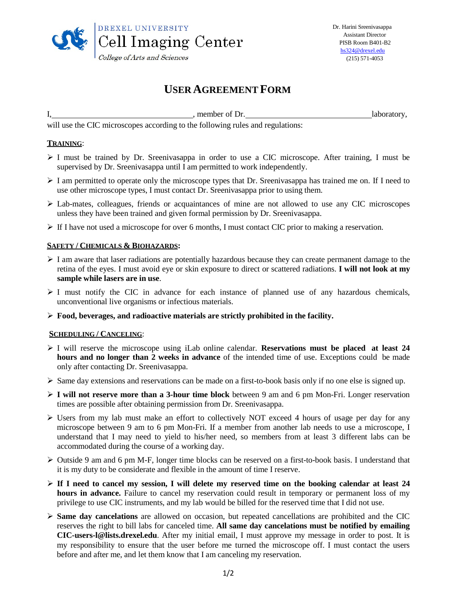

# **USER AGREEMENT FORM**

I, 1. 1. laboratory, member of Dr. 1. laboratory,

will use the CIC microscopes according to the following rules and regulations:

## **TRAINING**:

- $\triangleright$  I must be trained by Dr. Sreenivasappa in order to use a CIC microscope. After training, I must be supervised by Dr. Sreenivasappa until I am permitted to work independently.
- $\triangleright$  I am permitted to operate only the microscope types that Dr. Sreenivasappa has trained me on. If I need to use other microscope types, I must contact Dr. Sreenivasappa prior to using them.
- Lab-mates, colleagues, friends or acquaintances of mine are not allowed to use any CIC microscopes unless they have been trained and given formal permission by Dr. Sreenivasappa.
- $\triangleright$  If I have not used a microscope for over 6 months, I must contact CIC prior to making a reservation.

## **SAFETY / CHEMICALS & BIOHAZARDS:**

- $\triangleright$  I am aware that laser radiations are potentially hazardous because they can create permanent damage to the retina of the eyes. I must avoid eye or skin exposure to direct or scattered radiations. **I will not look at my sample while lasers are in use**.
- $\triangleright$  I must notify the CIC in advance for each instance of planned use of any hazardous chemicals, unconventional live organisms or infectious materials.
- **Food, beverages, and radioactive materials are strictly prohibited in the facility.**

### **SCHEDULING / CANCELING**:

- I will reserve the microscope using iLab online calendar. **Reservations must be placed at least 24 hours and no longer than 2 weeks in advance** of the intended time of use. Exceptions could be made only after contacting Dr. Sreenivasappa.
- $\triangleright$  Same day extensions and reservations can be made on a first-to-book basis only if no one else is signed up.
- **I will not reserve more than a 3-hour time block** between 9 am and 6 pm Mon-Fri. Longer reservation times are possible after obtaining permission from Dr. Sreenivasappa.
- Users from my lab must make an effort to collectively NOT exceed 4 hours of usage per day for any microscope between 9 am to 6 pm Mon-Fri. If a member from another lab needs to use a microscope, I understand that I may need to yield to his/her need, so members from at least 3 different labs can be accommodated during the course of a working day.
- $\triangleright$  Outside 9 am and 6 pm M-F, longer time blocks can be reserved on a first-to-book basis. I understand that it is my duty to be considerate and flexible in the amount of time I reserve.
- $\triangleright$  If I need to cancel my session, I will delete my reserved time on the booking calendar at least 24 **hours in advance.** Failure to cancel my reservation could result in temporary or permanent loss of my privilege to use CIC instruments, and my lab would be billed for the reserved time that I did not use.
- **Same day cancelations** are allowed on occasion, but repeated cancellations are prohibited and the CIC reserves the right to bill labs for canceled time. **All same day cancelations must be notified by emailing [CIC-users-l@lists.drexel.edu](mailto:CIC-users-l@lists.drexel.edu)**. After my initial email, I must approve my message in order to post. It is my responsibility to ensure that the user before me turned the microscope off. I must contact the users before and after me, and let them know that I am canceling my reservation.